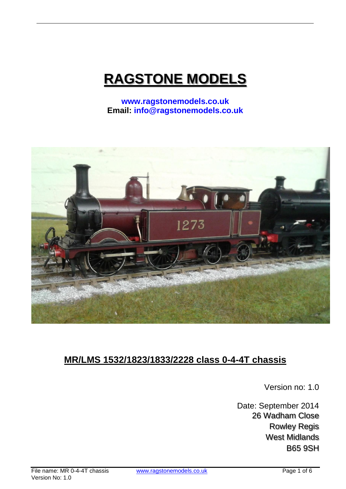# **RAGSTONE MODELS**

**www.ragstonemodels.co.uk Email: info@ragstonemodels.co.uk**



## **MR/LMS 1532/1823/1833/2228 class 0-4-4T chassis**

Version no: 1.0

Date: September 2014 26 Wadham Close Rowley Regis West Midlands B65 9SH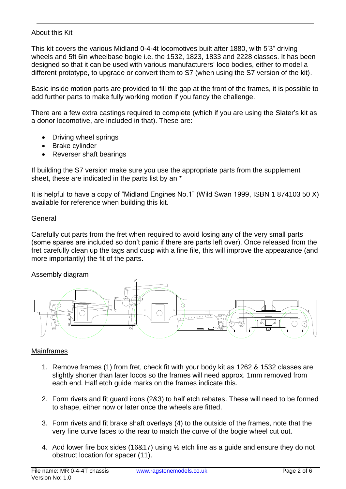#### About this Kit

This kit covers the various Midland 0-4-4t locomotives built after 1880, with 5'3" driving wheels and 5ft 6in wheelbase bogie i.e. the 1532, 1823, 1833 and 2228 classes. It has been designed so that it can be used with various manufacturers' loco bodies, either to model a different prototype, to upgrade or convert them to S7 (when using the S7 version of the kit).

Basic inside motion parts are provided to fill the gap at the front of the frames, it is possible to add further parts to make fully working motion if you fancy the challenge.

There are a few extra castings required to complete (which if you are using the Slater's kit as a donor locomotive, are included in that). These are:

- Driving wheel springs
- Brake cylinder
- Reverser shaft bearings

If building the S7 version make sure you use the appropriate parts from the supplement sheet, these are indicated in the parts list by an \*

It is helpful to have a copy of "Midland Engines No.1" (Wild Swan 1999, ISBN 1 874103 50 X) available for reference when building this kit.

#### **General**

Carefully cut parts from the fret when required to avoid losing any of the very small parts (some spares are included so don't panic if there are parts left over). Once released from the fret carefully clean up the tags and cusp with a fine file, this will improve the appearance (and more importantly) the fit of the parts.

#### Assembly diagram



#### Mainframes

- 1. Remove frames (1) from fret, check fit with your body kit as 1262 & 1532 classes are slightly shorter than later locos so the frames will need approx. 1mm removed from each end. Half etch guide marks on the frames indicate this.
- 2. Form rivets and fit guard irons (2&3) to half etch rebates. These will need to be formed to shape, either now or later once the wheels are fitted.
- 3. Form rivets and fit brake shaft overlays (4) to the outside of the frames, note that the very fine curve faces to the rear to match the curve of the bogie wheel cut out.
- 4. Add lower fire box sides (16&17) using ½ etch line as a guide and ensure they do not obstruct location for spacer (11).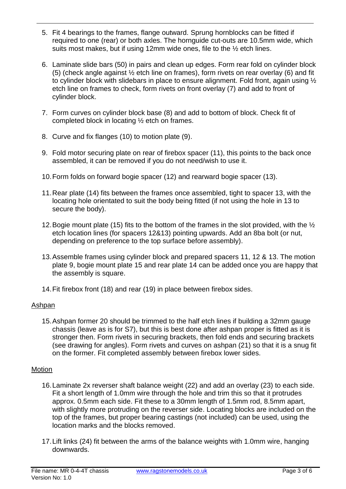- 5. Fit 4 bearings to the frames, flange outward. Sprung hornblocks can be fitted if required to one (rear) or both axles. The hornguide cut-outs are 10.5mm wide, which suits most makes, but if using 12mm wide ones, file to the ½ etch lines.
- 6. Laminate slide bars (50) in pairs and clean up edges. Form rear fold on cylinder block (5) (check angle against ½ etch line on frames), form rivets on rear overlay (6) and fit to cylinder block with slidebars in place to ensure alignment. Fold front, again using ½ etch line on frames to check, form rivets on front overlay (7) and add to front of cylinder block.
- 7. Form curves on cylinder block base (8) and add to bottom of block. Check fit of completed block in locating ½ etch on frames.
- 8. Curve and fix flanges (10) to motion plate (9).
- 9. Fold motor securing plate on rear of firebox spacer (11), this points to the back once assembled, it can be removed if you do not need/wish to use it.
- 10.Form folds on forward bogie spacer (12) and rearward bogie spacer (13).
- 11.Rear plate (14) fits between the frames once assembled, tight to spacer 13, with the locating hole orientated to suit the body being fitted (if not using the hole in 13 to secure the body).
- 12.Bogie mount plate (15) fits to the bottom of the frames in the slot provided, with the ½ etch location lines (for spacers 12&13) pointing upwards. Add an 8ba bolt (or nut, depending on preference to the top surface before assembly).
- 13.Assemble frames using cylinder block and prepared spacers 11, 12 & 13. The motion plate 9, bogie mount plate 15 and rear plate 14 can be added once you are happy that the assembly is square.
- 14.Fit firebox front (18) and rear (19) in place between firebox sides.

#### Ashpan

15.Ashpan former 20 should be trimmed to the half etch lines if building a 32mm gauge chassis (leave as is for S7), but this is best done after ashpan proper is fitted as it is stronger then. Form rivets in securing brackets, then fold ends and securing brackets (see drawing for angles). Form rivets and curves on ashpan (21) so that it is a snug fit on the former. Fit completed assembly between firebox lower sides.

#### Motion

- 16.Laminate 2x reverser shaft balance weight (22) and add an overlay (23) to each side. Fit a short length of 1.0mm wire through the hole and trim this so that it protrudes approx. 0.5mm each side. Fit these to a 30mm length of 1.5mm rod, 8.5mm apart, with slightly more protruding on the reverser side. Locating blocks are included on the top of the frames, but proper bearing castings (not included) can be used, using the location marks and the blocks removed.
- 17.Lift links (24) fit between the arms of the balance weights with 1.0mm wire, hanging downwards.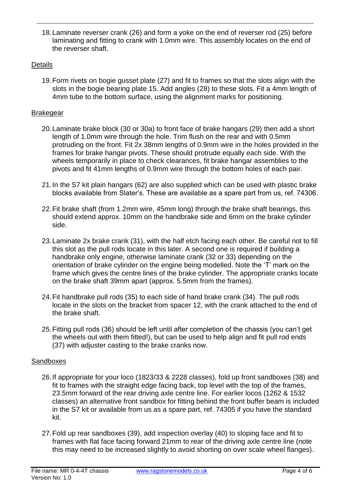18.Laminate reverser crank (26) and form a yoke on the end of reverser rod (25) before laminating and fitting to crank with 1.0mm wire. This assembly locates on the end of the reverser shaft.

#### **Details**

19.Form rivets on bogie gusset plate (27) and fit to frames so that the slots align with the slots in the bogie bearing plate 15. Add angles (28) to these slots. Fit a 4mm length of 4mm tube to the bottom surface, using the alignment marks for positioning.

#### **Brakegear**

- 20.Laminate brake block (30 or 30a) to front face of brake hangars (29) then add a short length of 1.0mm wire through the hole. Trim flush on the rear and with 0.5mm protruding on the front. Fit 2x 38mm lengths of 0.9mm wire in the holes provided in the frames for brake hangar pivots. These should protrude equally each side. With the wheels temporarily in place to check clearances, fit brake hangar assemblies to the pivots and fit 41mm lengths of 0.9mm wire through the bottom holes of each pair.
- 21.In the S7 kit plain hangars (62) are also supplied which can be used with plastic brake blocks available from Slater's. These are available as a spare part from us, ref. 74306.
- 22.Fit brake shaft (from 1.2mm wire, 45mm long) through the brake shaft bearings, this should extend approx. 10mm on the handbrake side and 6mm on the brake cylinder side.
- 23.Laminate 2x brake crank (31), with the half etch facing each other. Be careful not to fill this slot as the pull rods locate in this later. A second one is required if building a handbrake only engine, otherwise laminate crank (32 or 33) depending on the orientation of brake cylinder on the engine being modelled. Note the 'T' mark on the frame which gives the centre lines of the brake cylinder. The appropriate cranks locate on the brake shaft 39mm apart (approx. 5.5mm from the frames).
- 24.Fit handbrake pull rods (35) to each side of hand brake crank (34). The pull rods locate in the slots on the bracket from spacer 12, with the crank attached to the end of the brake shaft.
- 25.Fitting pull rods (36) should be left until after completion of the chassis (you can't get the wheels out with them fitted!), but can be used to help align and fit pull rod ends (37) with adjuster casting to the brake cranks now.

#### **Sandboxes**

- 26.If appropriate for your loco (1823/33 & 2228 classes), fold up front sandboxes (38) and fit to frames with the straight edge facing back, top level with the top of the frames, 23.5mm forward of the rear driving axle centre line. For earlier locos (1262 & 1532 classes) an alternative front sandbox for fitting behind the front buffer beam is included in the S7 kit or available from us as a spare part, ref. 74305 if you have the standard kit.
- 27.Fold up rear sandboxes (39), add inspection overlay (40) to sloping face and fit to frames with flat face facing forward 21mm to rear of the driving axle centre line (note this may need to be increased slightly to avoid shorting on over scale wheel flanges).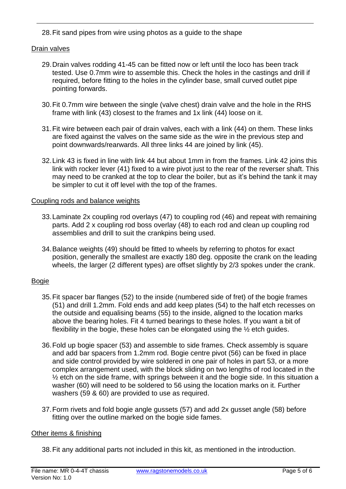28.Fit sand pipes from wire using photos as a guide to the shape

#### Drain valves

- 29.Drain valves rodding 41-45 can be fitted now or left until the loco has been track tested. Use 0.7mm wire to assemble this. Check the holes in the castings and drill if required, before fitting to the holes in the cylinder base, small curved outlet pipe pointing forwards.
- 30.Fit 0.7mm wire between the single (valve chest) drain valve and the hole in the RHS frame with link (43) closest to the frames and 1x link (44) loose on it.
- 31.Fit wire between each pair of drain valves, each with a link (44) on them. These links are fixed against the valves on the same side as the wire in the previous step and point downwards/rearwards. All three links 44 are joined by link (45).
- 32.Link 43 is fixed in line with link 44 but about 1mm in from the frames. Link 42 joins this link with rocker lever (41) fixed to a wire pivot just to the rear of the reverser shaft. This may need to be cranked at the top to clear the boiler, but as it's behind the tank it may be simpler to cut it off level with the top of the frames.

#### Coupling rods and balance weights

- 33.Laminate 2x coupling rod overlays (47) to coupling rod (46) and repeat with remaining parts. Add 2 x coupling rod boss overlay (48) to each rod and clean up coupling rod assemblies and drill to suit the crankpins being used.
- 34.Balance weights (49) should be fitted to wheels by referring to photos for exact position, generally the smallest are exactly 180 deg. opposite the crank on the leading wheels, the larger (2 different types) are offset slightly by 2/3 spokes under the crank.

#### Bogie

- 35.Fit spacer bar flanges (52) to the inside (numbered side of fret) of the bogie frames (51) and drill 1.2mm. Fold ends and add keep plates (54) to the half etch recesses on the outside and equalising beams (55) to the inside, aligned to the location marks above the bearing holes. Fit 4 turned bearings to these holes. If you want a bit of flexibility in the bogie, these holes can be elongated using the ½ etch guides.
- 36.Fold up bogie spacer (53) and assemble to side frames. Check assembly is square and add bar spacers from 1.2mm rod. Bogie centre pivot (56) can be fixed in place and side control provided by wire soldered in one pair of holes in part 53, or a more complex arrangement used, with the block sliding on two lengths of rod located in the ½ etch on the side frame, with springs between it and the bogie side. In this situation a washer (60) will need to be soldered to 56 using the location marks on it. Further washers (59 & 60) are provided to use as required.
- 37.Form rivets and fold bogie angle gussets (57) and add 2x gusset angle (58) before fitting over the outline marked on the bogie side fames.

#### Other items & finishing

38.Fit any additional parts not included in this kit, as mentioned in the introduction.